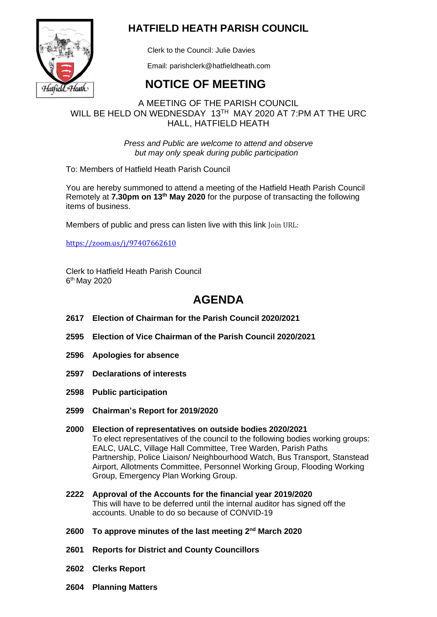

### **HATFIELD HEATH PARISH COUNCIL**

Clerk to the Council: Julie Davies

Email: parishclerk@hatfieldheath.com

# **NOTICE OF MEETING**

### A MEETING OF THE PARISH COUNCIL WILL BE HELD ON WEDNESDAY 13TH MAY 2020 AT 7:PM AT THE URC HALL, HATFIELD HEATH

*Press and Public are welcome to attend and observe but may only speak during public participation*

To: Members of Hatfield Heath Parish Council

You are hereby summoned to attend a meeting of the Hatfield Heath Parish Council Remotely at **7.30pm on 13th May 2020** for the purpose of transacting the following items of business.

Members of public and press can listen live with this link Join URL:

<https://zoom.us/j/97407662610>

Clerk to Hatfield Heath Parish Council 6<sup>th</sup> May 2020

## **AGENDA**

- **2617 Election of Chairman for the Parish Council 2020/2021**
- **2595 Election of Vice Chairman of the Parish Council 2020/2021**
- **2596 Apologies for absence**
- **2597 Declarations of interests**
- **2598 Public participation**
- **2599 Chairman's Report for 2019/2020**
- **2000 Election of representatives on outside bodies 2020/2021** To elect representatives of the council to the following bodies working groups: EALC, UALC, Village Hall Committee, Tree Warden, Parish Paths Partnership, Police Liaison/ Neighbourhood Watch, Bus Transport, Stanstead Airport, Allotments Committee, Personnel Working Group, Flooding Working Group, Emergency Plan Working Group.
- **2222 Approval of the Accounts for the financial year 2019/2020** This will have to be deferred until the internal auditor has signed off the accounts. Unable to do so because of CONVID-19
- **2600 To approve minutes of the last meeting 2 nd March 2020**
- **2601 Reports for District and County Councillors**
- **2602 Clerks Report**
- **2604 Planning Matters**